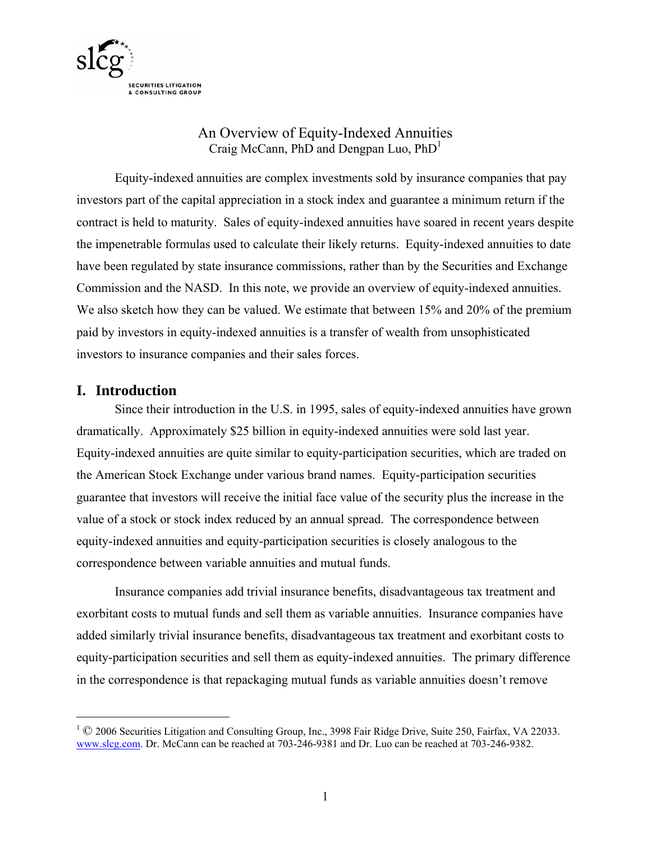

#### An Overview of Equity-Indexed Annuities Craig McCann, PhD and Dengpan Luo,  $PhD<sup>1</sup>$

Equity-indexed annuities are complex investments sold by insurance companies that pay investors part of the capital appreciation in a stock index and guarantee a minimum return if the contract is held to maturity. Sales of equity-indexed annuities have soared in recent years despite the impenetrable formulas used to calculate their likely returns. Equity-indexed annuities to date have been regulated by state insurance commissions, rather than by the Securities and Exchange Commission and the NASD. In this note, we provide an overview of equity-indexed annuities. We also sketch how they can be valued. We estimate that between 15% and 20% of the premium paid by investors in equity-indexed annuities is a transfer of wealth from unsophisticated investors to insurance companies and their sales forces.

#### **I. Introduction**

 $\overline{a}$ 

Since their introduction in the U.S. in 1995, sales of equity-indexed annuities have grown dramatically. Approximately \$25 billion in equity-indexed annuities were sold last year. Equity-indexed annuities are quite similar to equity-participation securities, which are traded on the American Stock Exchange under various brand names. Equity-participation securities guarantee that investors will receive the initial face value of the security plus the increase in the value of a stock or stock index reduced by an annual spread. The correspondence between equity-indexed annuities and equity-participation securities is closely analogous to the correspondence between variable annuities and mutual funds.

Insurance companies add trivial insurance benefits, disadvantageous tax treatment and exorbitant costs to mutual funds and sell them as variable annuities. Insurance companies have added similarly trivial insurance benefits, disadvantageous tax treatment and exorbitant costs to equity-participation securities and sell them as equity-indexed annuities. The primary difference in the correspondence is that repackaging mutual funds as variable annuities doesn't remove

<sup>&</sup>lt;sup>1</sup> © 2006 Securities Litigation and Consulting Group, Inc., 3998 Fair Ridge Drive, Suite 250, Fairfax, VA 22033. www.slcg.com. Dr. McCann can be reached at 703-246-9381 and Dr. Luo can be reached at 703-246-9382.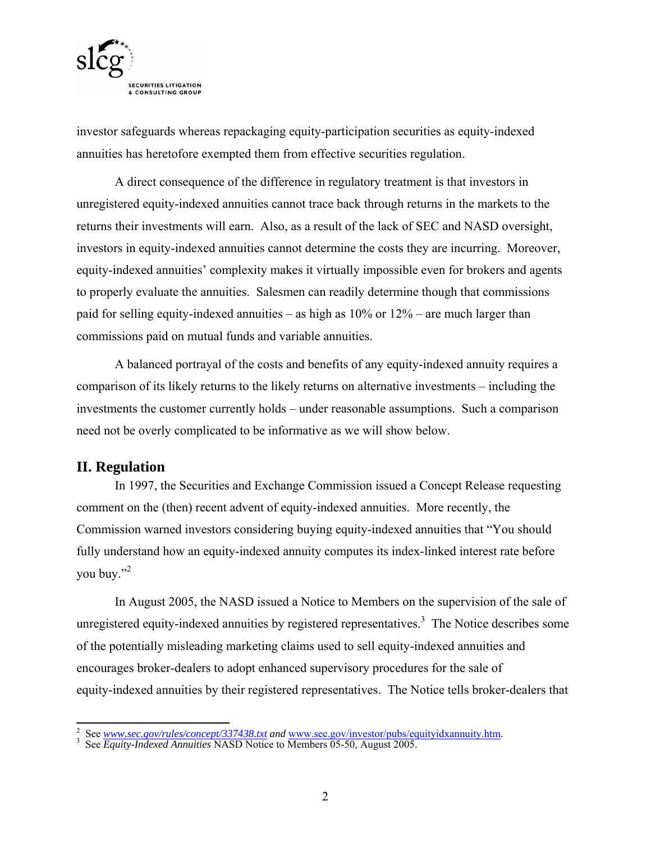

investor safeguards whereas repackaging equity-participation securities as equity-indexed annuities has heretofore exempted them from effective securities regulation.

A direct consequence of the difference in regulatory treatment is that investors in unregistered equity-indexed annuities cannot trace back through returns in the markets to the returns their investments will earn. Also, as a result of the lack of SEC and NASD oversight, investors in equity-indexed annuities cannot determine the costs they are incurring. Moreover, equity-indexed annuities' complexity makes it virtually impossible even for brokers and agents to properly evaluate the annuities. Salesmen can readily determine though that commissions paid for selling equity-indexed annuities – as high as 10% or 12% – are much larger than commissions paid on mutual funds and variable annuities.

A balanced portrayal of the costs and benefits of any equity-indexed annuity requires a comparison of its likely returns to the likely returns on alternative investments – including the investments the customer currently holds – under reasonable assumptions. Such a comparison need not be overly complicated to be informative as we will show below.

#### **II. Regulation**

In 1997, the Securities and Exchange Commission issued a Concept Release requesting comment on the (then) recent advent of equity-indexed annuities. More recently, the Commission warned investors considering buying equity-indexed annuities that "You should fully understand how an equity-indexed annuity computes its index-linked interest rate before you buy."<sup>2</sup>

In August 2005, the NASD issued a Notice to Members on the supervision of the sale of unregistered equity-indexed annuities by registered representatives.<sup>3</sup> The Notice describes some of the potentially misleading marketing claims used to sell equity-indexed annuities and encourages broker-dealers to adopt enhanced supervisory procedures for the sale of equity-indexed annuities by their registered representatives. The Notice tells broker-dealers that

<sup>&</sup>lt;sup>2</sup> See <u>www.sec.gov/rules/concept/337438.txt</u> and <u>www.sec.gov/investor/pubs/equityidxannuity.htm</u>.<br><sup>3</sup> See *Equity-Indexed Annuities* NASD Notice to Members 05-50, August 2005.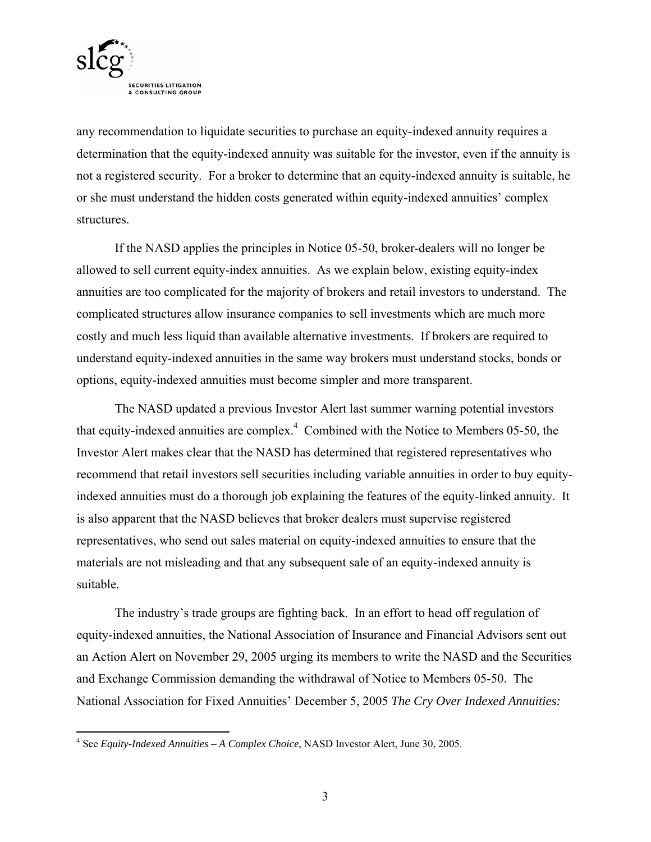

 $\overline{a}$ 

any recommendation to liquidate securities to purchase an equity-indexed annuity requires a determination that the equity-indexed annuity was suitable for the investor, even if the annuity is not a registered security. For a broker to determine that an equity-indexed annuity is suitable, he or she must understand the hidden costs generated within equity-indexed annuities' complex structures.

If the NASD applies the principles in Notice 05-50, broker-dealers will no longer be allowed to sell current equity-index annuities. As we explain below, existing equity-index annuities are too complicated for the majority of brokers and retail investors to understand. The complicated structures allow insurance companies to sell investments which are much more costly and much less liquid than available alternative investments. If brokers are required to understand equity-indexed annuities in the same way brokers must understand stocks, bonds or options, equity-indexed annuities must become simpler and more transparent.

The NASD updated a previous Investor Alert last summer warning potential investors that equity-indexed annuities are complex. $4$  Combined with the Notice to Members 05-50, the Investor Alert makes clear that the NASD has determined that registered representatives who recommend that retail investors sell securities including variable annuities in order to buy equityindexed annuities must do a thorough job explaining the features of the equity-linked annuity. It is also apparent that the NASD believes that broker dealers must supervise registered representatives, who send out sales material on equity-indexed annuities to ensure that the materials are not misleading and that any subsequent sale of an equity-indexed annuity is suitable.

The industry's trade groups are fighting back. In an effort to head off regulation of equity-indexed annuities, the National Association of Insurance and Financial Advisors sent out an Action Alert on November 29, 2005 urging its members to write the NASD and the Securities and Exchange Commission demanding the withdrawal of Notice to Members 05-50. The National Association for Fixed Annuities' December 5, 2005 *The Cry Over Indexed Annuities:* 

<sup>4</sup> See *Equity-Indexed Annuities – A Complex Choice*, NASD Investor Alert, June 30, 2005.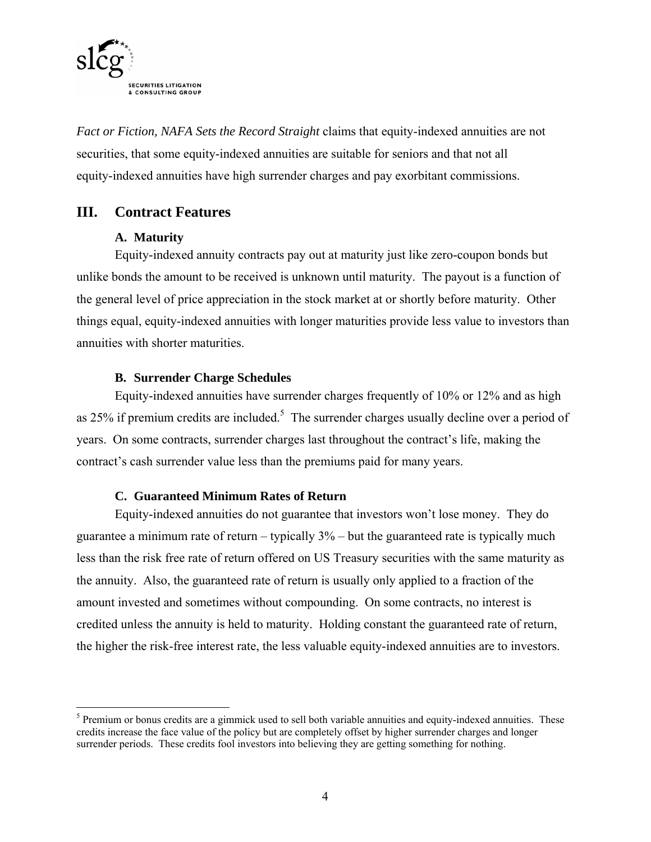

*Fact or Fiction, NAFA Sets the Record Straight* claims that equity-indexed annuities are not securities, that some equity-indexed annuities are suitable for seniors and that not all equity-indexed annuities have high surrender charges and pay exorbitant commissions.

#### **III. Contract Features**

#### **A. Maturity**

Equity-indexed annuity contracts pay out at maturity just like zero-coupon bonds but unlike bonds the amount to be received is unknown until maturity. The payout is a function of the general level of price appreciation in the stock market at or shortly before maturity. Other things equal, equity-indexed annuities with longer maturities provide less value to investors than annuities with shorter maturities.

#### **B. Surrender Charge Schedules**

Equity-indexed annuities have surrender charges frequently of 10% or 12% and as high as 25% if premium credits are included.<sup>5</sup> The surrender charges usually decline over a period of years. On some contracts, surrender charges last throughout the contract's life, making the contract's cash surrender value less than the premiums paid for many years.

#### **C. Guaranteed Minimum Rates of Return**

Equity-indexed annuities do not guarantee that investors won't lose money. They do guarantee a minimum rate of return – typically 3% – but the guaranteed rate is typically much less than the risk free rate of return offered on US Treasury securities with the same maturity as the annuity. Also, the guaranteed rate of return is usually only applied to a fraction of the amount invested and sometimes without compounding. On some contracts, no interest is credited unless the annuity is held to maturity. Holding constant the guaranteed rate of return, the higher the risk-free interest rate, the less valuable equity-indexed annuities are to investors.

 $\overline{a}$  $<sup>5</sup>$  Premium or bonus credits are a gimmick used to sell both variable annuities and equity-indexed annuities. These</sup> credits increase the face value of the policy but are completely offset by higher surrender charges and longer surrender periods. These credits fool investors into believing they are getting something for nothing.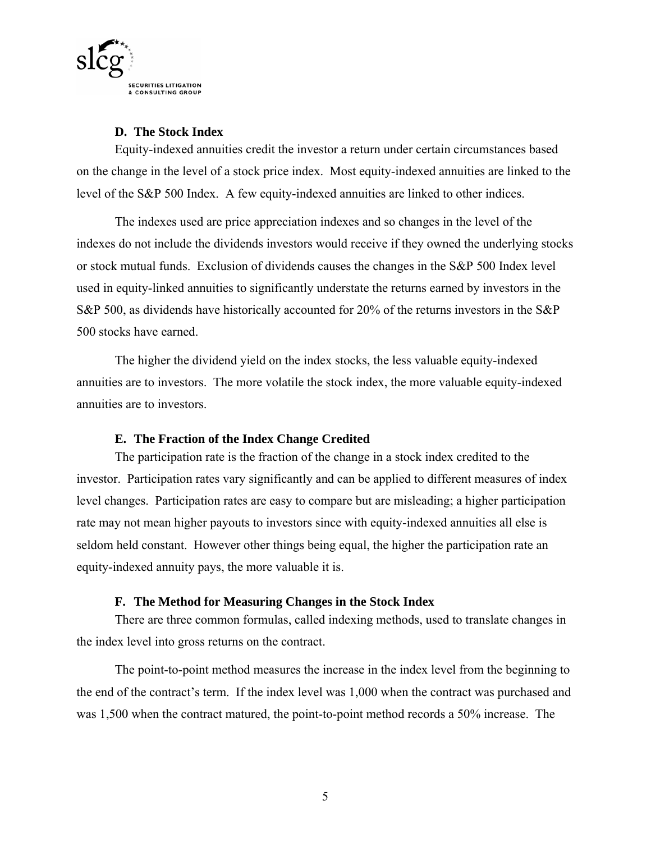

#### **D. The Stock Index**

Equity-indexed annuities credit the investor a return under certain circumstances based on the change in the level of a stock price index. Most equity-indexed annuities are linked to the level of the S&P 500 Index. A few equity-indexed annuities are linked to other indices.

The indexes used are price appreciation indexes and so changes in the level of the indexes do not include the dividends investors would receive if they owned the underlying stocks or stock mutual funds. Exclusion of dividends causes the changes in the S&P 500 Index level used in equity-linked annuities to significantly understate the returns earned by investors in the S&P 500, as dividends have historically accounted for 20% of the returns investors in the S&P 500 stocks have earned.

The higher the dividend yield on the index stocks, the less valuable equity-indexed annuities are to investors. The more volatile the stock index, the more valuable equity-indexed annuities are to investors.

#### **E. The Fraction of the Index Change Credited**

The participation rate is the fraction of the change in a stock index credited to the investor. Participation rates vary significantly and can be applied to different measures of index level changes. Participation rates are easy to compare but are misleading; a higher participation rate may not mean higher payouts to investors since with equity-indexed annuities all else is seldom held constant. However other things being equal, the higher the participation rate an equity-indexed annuity pays, the more valuable it is.

#### **F. The Method for Measuring Changes in the Stock Index**

There are three common formulas, called indexing methods, used to translate changes in the index level into gross returns on the contract.

The point-to-point method measures the increase in the index level from the beginning to the end of the contract's term. If the index level was 1,000 when the contract was purchased and was 1,500 when the contract matured, the point-to-point method records a 50% increase. The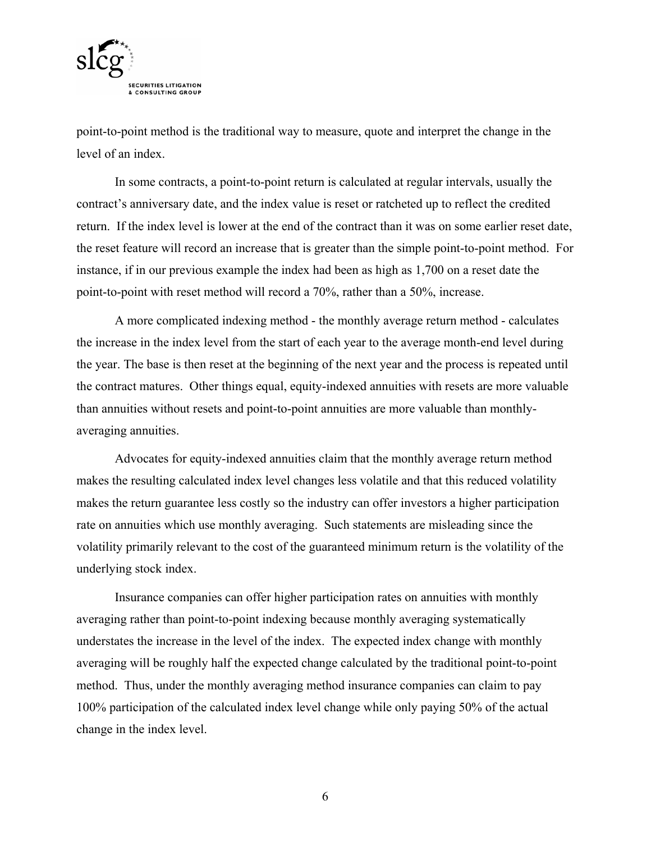

point-to-point method is the traditional way to measure, quote and interpret the change in the level of an index.

In some contracts, a point-to-point return is calculated at regular intervals, usually the contract's anniversary date, and the index value is reset or ratcheted up to reflect the credited return. If the index level is lower at the end of the contract than it was on some earlier reset date, the reset feature will record an increase that is greater than the simple point-to-point method. For instance, if in our previous example the index had been as high as 1,700 on a reset date the point-to-point with reset method will record a 70%, rather than a 50%, increase.

A more complicated indexing method - the monthly average return method - calculates the increase in the index level from the start of each year to the average month-end level during the year. The base is then reset at the beginning of the next year and the process is repeated until the contract matures. Other things equal, equity-indexed annuities with resets are more valuable than annuities without resets and point-to-point annuities are more valuable than monthlyaveraging annuities.

Advocates for equity-indexed annuities claim that the monthly average return method makes the resulting calculated index level changes less volatile and that this reduced volatility makes the return guarantee less costly so the industry can offer investors a higher participation rate on annuities which use monthly averaging. Such statements are misleading since the volatility primarily relevant to the cost of the guaranteed minimum return is the volatility of the underlying stock index.

Insurance companies can offer higher participation rates on annuities with monthly averaging rather than point-to-point indexing because monthly averaging systematically understates the increase in the level of the index. The expected index change with monthly averaging will be roughly half the expected change calculated by the traditional point-to-point method. Thus, under the monthly averaging method insurance companies can claim to pay 100% participation of the calculated index level change while only paying 50% of the actual change in the index level.

6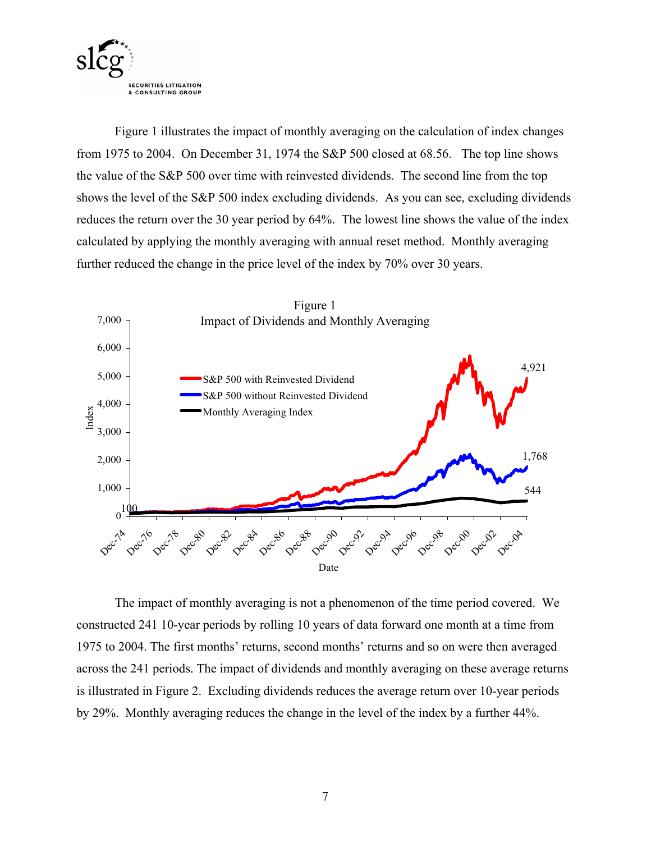

Figure 1 illustrates the impact of monthly averaging on the calculation of index changes from 1975 to 2004. On December 31, 1974 the S&P 500 closed at 68.56. The top line shows the value of the S&P 500 over time with reinvested dividends. The second line from the top shows the level of the S&P 500 index excluding dividends. As you can see, excluding dividends reduces the return over the 30 year period by 64%. The lowest line shows the value of the index calculated by applying the monthly averaging with annual reset method. Monthly averaging further reduced the change in the price level of the index by 70% over 30 years.



The impact of monthly averaging is not a phenomenon of the time period covered. We constructed 241 10-year periods by rolling 10 years of data forward one month at a time from 1975 to 2004. The first months' returns, second months' returns and so on were then averaged across the 241 periods. The impact of dividends and monthly averaging on these average returns is illustrated in Figure 2. Excluding dividends reduces the average return over 10-year periods by 29%. Monthly averaging reduces the change in the level of the index by a further 44%.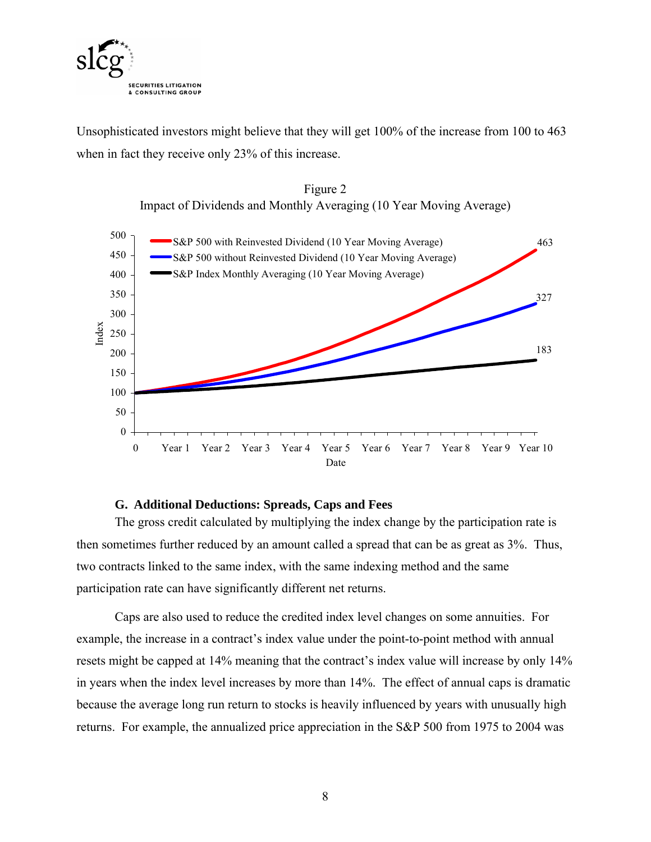

Unsophisticated investors might believe that they will get 100% of the increase from 100 to 463 when in fact they receive only 23% of this increase.





#### **G. Additional Deductions: Spreads, Caps and Fees**

The gross credit calculated by multiplying the index change by the participation rate is then sometimes further reduced by an amount called a spread that can be as great as 3%. Thus, two contracts linked to the same index, with the same indexing method and the same participation rate can have significantly different net returns.

Caps are also used to reduce the credited index level changes on some annuities. For example, the increase in a contract's index value under the point-to-point method with annual resets might be capped at 14% meaning that the contract's index value will increase by only 14% in years when the index level increases by more than 14%. The effect of annual caps is dramatic because the average long run return to stocks is heavily influenced by years with unusually high returns. For example, the annualized price appreciation in the S&P 500 from 1975 to 2004 was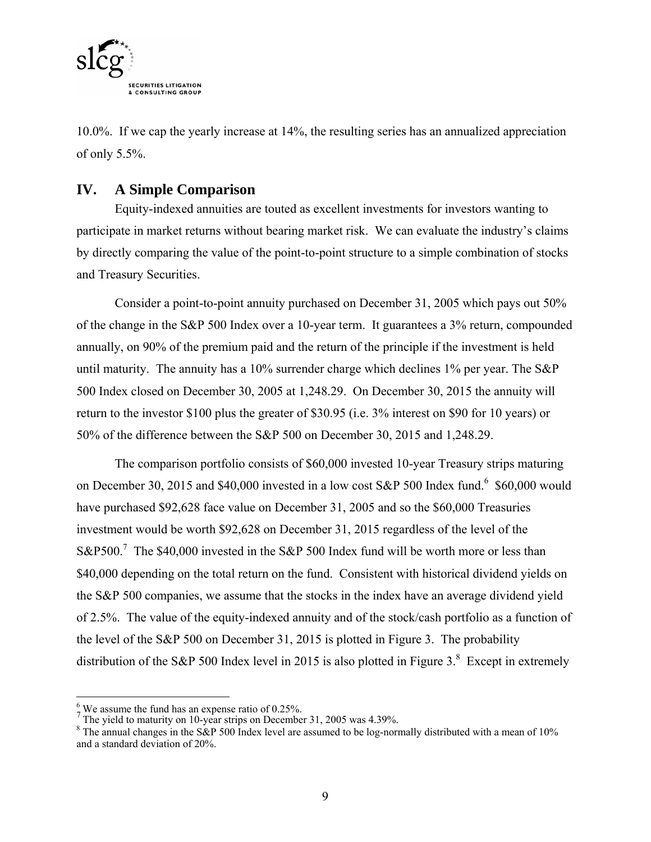

10.0%. If we cap the yearly increase at 14%, the resulting series has an annualized appreciation of only 5.5%.

#### **IV. A Simple Comparison**

Equity-indexed annuities are touted as excellent investments for investors wanting to participate in market returns without bearing market risk. We can evaluate the industry's claims by directly comparing the value of the point-to-point structure to a simple combination of stocks and Treasury Securities.

Consider a point-to-point annuity purchased on December 31, 2005 which pays out 50% of the change in the S&P 500 Index over a 10-year term. It guarantees a 3% return, compounded annually, on 90% of the premium paid and the return of the principle if the investment is held until maturity. The annuity has a 10% surrender charge which declines 1% per year. The S&P 500 Index closed on December 30, 2005 at 1,248.29. On December 30, 2015 the annuity will return to the investor \$100 plus the greater of \$30.95 (i.e. 3% interest on \$90 for 10 years) or 50% of the difference between the S&P 500 on December 30, 2015 and 1,248.29.

The comparison portfolio consists of \$60,000 invested 10-year Treasury strips maturing on December 30, 2015 and \$40,000 invested in a low cost S&P 500 Index fund.<sup>6</sup> \$60,000 would have purchased \$92,628 face value on December 31, 2005 and so the \$60,000 Treasuries investment would be worth \$92,628 on December 31, 2015 regardless of the level of the S&P500.<sup>7</sup> The \$40,000 invested in the S&P 500 Index fund will be worth more or less than \$40,000 depending on the total return on the fund. Consistent with historical dividend yields on the S&P 500 companies, we assume that the stocks in the index have an average dividend yield of 2.5%. The value of the equity-indexed annuity and of the stock/cash portfolio as a function of the level of the S&P 500 on December 31, 2015 is plotted in Figure 3. The probability distribution of the S&P 500 Index level in 2015 is also plotted in Figure 3. $8$  Except in extremely

 $\frac{6}{7}$  We assume the fund has an expense ratio of 0.25%.<br>The yield to maturity on 10-year strips on December 31, 2005 was 4.39%.

<sup>&</sup>lt;sup>8</sup> The annual changes in the S&P 500 Index level are assumed to be log-normally distributed with a mean of 10% and a standard deviation of 20%.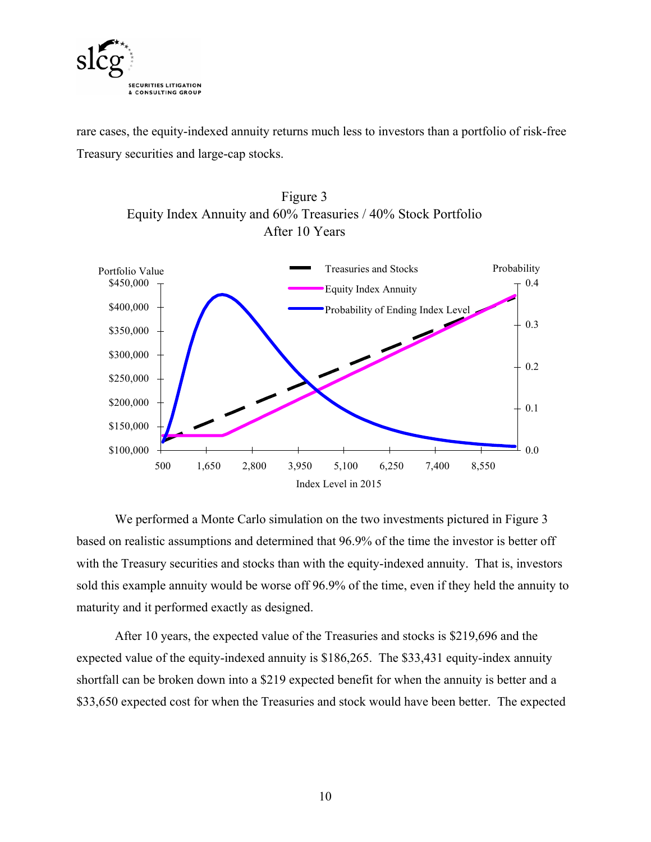

rare cases, the equity-indexed annuity returns much less to investors than a portfolio of risk-free Treasury securities and large-cap stocks.





We performed a Monte Carlo simulation on the two investments pictured in Figure 3 based on realistic assumptions and determined that 96.9% of the time the investor is better off with the Treasury securities and stocks than with the equity-indexed annuity. That is, investors sold this example annuity would be worse off 96.9% of the time, even if they held the annuity to maturity and it performed exactly as designed.

After 10 years, the expected value of the Treasuries and stocks is \$219,696 and the expected value of the equity-indexed annuity is \$186,265. The \$33,431 equity-index annuity shortfall can be broken down into a \$219 expected benefit for when the annuity is better and a \$33,650 expected cost for when the Treasuries and stock would have been better. The expected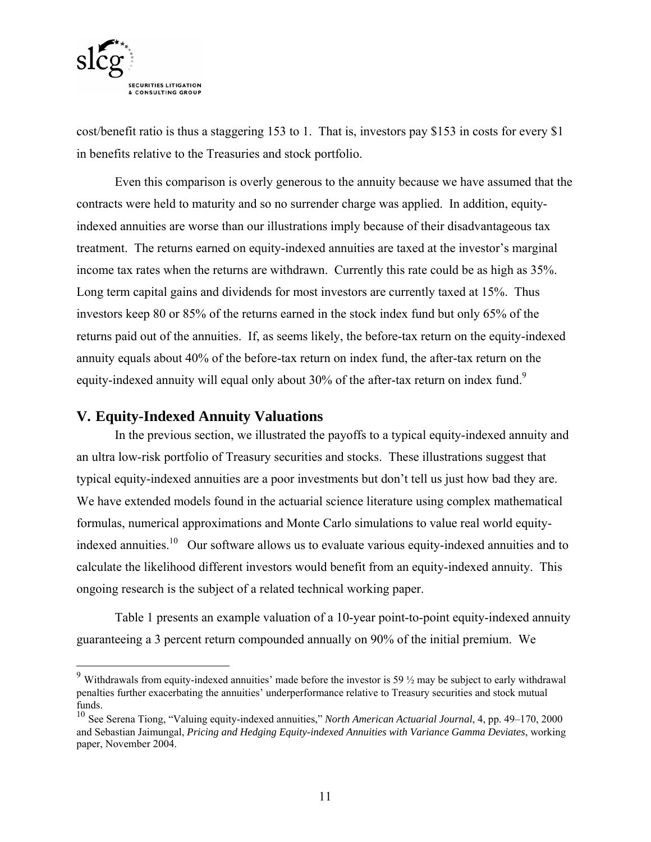

cost/benefit ratio is thus a staggering 153 to 1. That is, investors pay \$153 in costs for every \$1 in benefits relative to the Treasuries and stock portfolio.

Even this comparison is overly generous to the annuity because we have assumed that the contracts were held to maturity and so no surrender charge was applied. In addition, equityindexed annuities are worse than our illustrations imply because of their disadvantageous tax treatment. The returns earned on equity-indexed annuities are taxed at the investor's marginal income tax rates when the returns are withdrawn. Currently this rate could be as high as 35%. Long term capital gains and dividends for most investors are currently taxed at 15%. Thus investors keep 80 or 85% of the returns earned in the stock index fund but only 65% of the returns paid out of the annuities. If, as seems likely, the before-tax return on the equity-indexed annuity equals about 40% of the before-tax return on index fund, the after-tax return on the equity-indexed annuity will equal only about 30% of the after-tax return on index fund.<sup>9</sup>

#### **V. Equity-Indexed Annuity Valuations**

 $\overline{a}$ 

In the previous section, we illustrated the payoffs to a typical equity-indexed annuity and an ultra low-risk portfolio of Treasury securities and stocks. These illustrations suggest that typical equity-indexed annuities are a poor investments but don't tell us just how bad they are. We have extended models found in the actuarial science literature using complex mathematical formulas, numerical approximations and Monte Carlo simulations to value real world equityindexed annuities.<sup>10</sup> Our software allows us to evaluate various equity-indexed annuities and to calculate the likelihood different investors would benefit from an equity-indexed annuity. This ongoing research is the subject of a related technical working paper.

Table 1 presents an example valuation of a 10-year point-to-point equity-indexed annuity guaranteeing a 3 percent return compounded annually on 90% of the initial premium. We

<sup>&</sup>lt;sup>9</sup> Withdrawals from equity-indexed annuities' made before the investor is 59  $\frac{1}{2}$  may be subject to early withdrawal penalties further exacerbating the annuities' underperformance relative to Treasury securities and stock mutual funds.

<sup>10</sup> See Serena Tiong, "Valuing equity-indexed annuities," *North American Actuarial Journal*, 4, pp. 49–170, 2000 and Sebastian Jaimungal, *Pricing and Hedging Equity-indexed Annuities with Variance Gamma Deviates*, working paper, November 2004.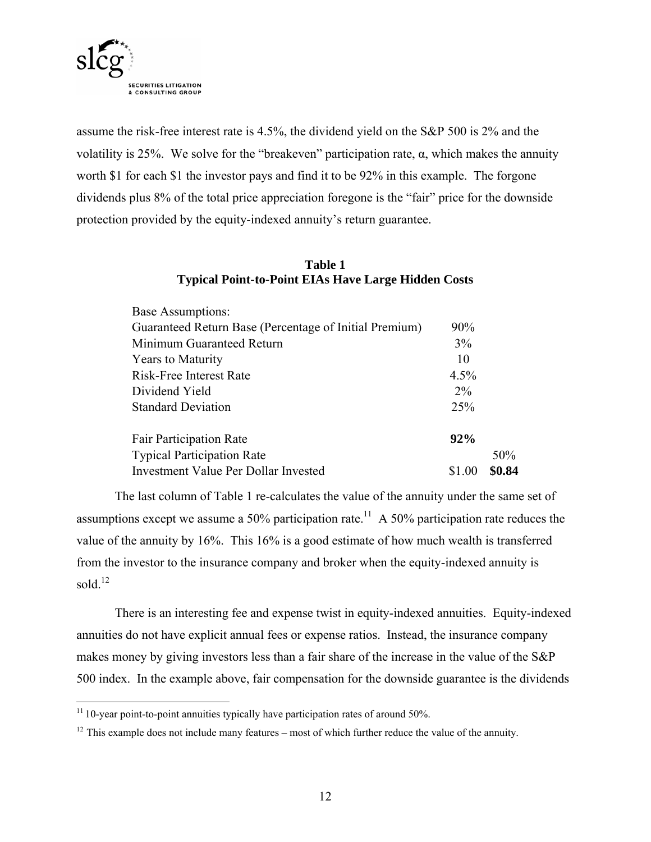

assume the risk-free interest rate is 4.5%, the dividend yield on the S&P 500 is 2% and the volatility is 25%. We solve for the "breakeven" participation rate,  $α$ , which makes the annuity worth \$1 for each \$1 the investor pays and find it to be 92% in this example. The forgone dividends plus 8% of the total price appreciation foregone is the "fair" price for the downside protection provided by the equity-indexed annuity's return guarantee.

#### **Table 1 Typical Point-to-Point EIAs Have Large Hidden Costs**

| <b>Base Assumptions:</b>                               |        |        |
|--------------------------------------------------------|--------|--------|
| Guaranteed Return Base (Percentage of Initial Premium) | 90%    |        |
| Minimum Guaranteed Return                              | 3%     |        |
| <b>Years to Maturity</b>                               | 10     |        |
| Risk-Free Interest Rate                                | 4.5%   |        |
| Dividend Yield                                         | $2\%$  |        |
| <b>Standard Deviation</b>                              | 25%    |        |
| <b>Fair Participation Rate</b>                         | 92%    |        |
| <b>Typical Participation Rate</b>                      |        | 50%    |
| Investment Value Per Dollar Invested                   | \$1.00 | \$0.84 |

The last column of Table 1 re-calculates the value of the annuity under the same set of assumptions except we assume a 50% participation rate.<sup>11</sup> A 50% participation rate reduces the value of the annuity by 16%. This 16% is a good estimate of how much wealth is transferred from the investor to the insurance company and broker when the equity-indexed annuity is sold. $12$ 

There is an interesting fee and expense twist in equity-indexed annuities. Equity-indexed annuities do not have explicit annual fees or expense ratios. Instead, the insurance company makes money by giving investors less than a fair share of the increase in the value of the S&P 500 index. In the example above, fair compensation for the downside guarantee is the dividends

1

 $11$  10-year point-to-point annuities typically have participation rates of around 50%.

 $12$  This example does not include many features – most of which further reduce the value of the annuity.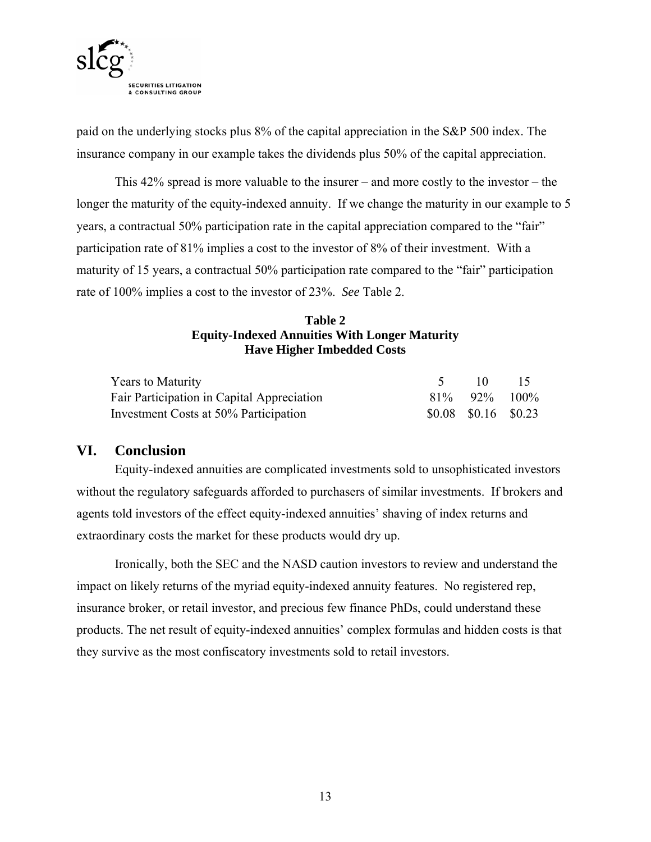

paid on the underlying stocks plus 8% of the capital appreciation in the S&P 500 index. The insurance company in our example takes the dividends plus 50% of the capital appreciation.

This 42% spread is more valuable to the insurer – and more costly to the investor – the longer the maturity of the equity-indexed annuity. If we change the maturity in our example to 5 years, a contractual 50% participation rate in the capital appreciation compared to the "fair" participation rate of 81% implies a cost to the investor of 8% of their investment. With a maturity of 15 years, a contractual 50% participation rate compared to the "fair" participation rate of 100% implies a cost to the investor of 23%. *See* Table 2.

#### **Table 2 Equity-Indexed Annuities With Longer Maturity Have Higher Imbedded Costs**

| <b>Years to Maturity</b>                   | $\Box$                  | $\overline{15}$ |
|--------------------------------------------|-------------------------|-----------------|
| Fair Participation in Capital Appreciation | $81\%$ 92\% 100\%       |                 |
| Investment Costs at 50% Participation      | $$0.08$ $$0.16$ $$0.23$ |                 |

#### **VI. Conclusion**

Equity-indexed annuities are complicated investments sold to unsophisticated investors without the regulatory safeguards afforded to purchasers of similar investments. If brokers and agents told investors of the effect equity-indexed annuities' shaving of index returns and extraordinary costs the market for these products would dry up.

Ironically, both the SEC and the NASD caution investors to review and understand the impact on likely returns of the myriad equity-indexed annuity features. No registered rep, insurance broker, or retail investor, and precious few finance PhDs, could understand these products. The net result of equity-indexed annuities' complex formulas and hidden costs is that they survive as the most confiscatory investments sold to retail investors.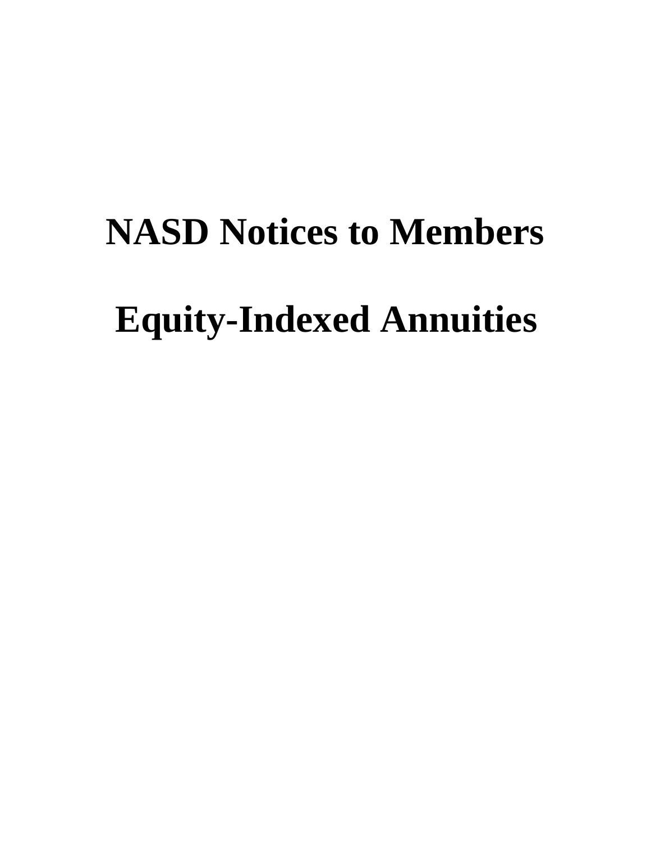# **NASD Notices to Members Equity-Indexed Annuities**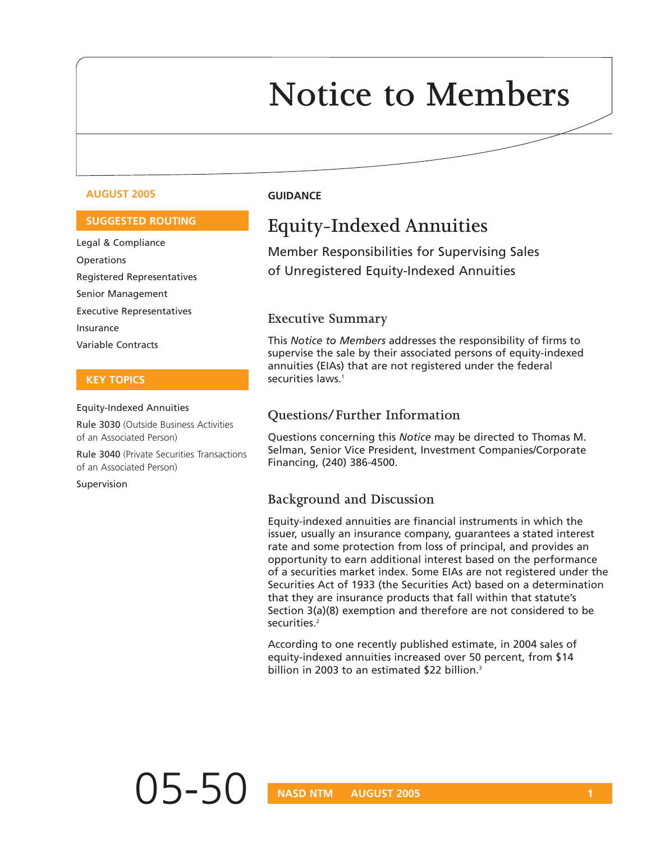## **Notice to Members**

#### **AUGUST 2005 GUIDANCE**

#### **SUGGESTED ROUTING**

Legal & Compliance **Operations** Registered Representatives Senior Management Executive Representatives Insurance Variable Contracts

#### **KEY TOPICS**

#### Equity-Indexed Annuities

Rule 3030 (Outside Business Activities of an Associated Person)

Rule 3040 (Private Securities Transactions of an Associated Person)

Supervision

#### **Equity-Indexed Annuities**

Member Responsibilities for Supervising Sales of Unregistered Equity-Indexed Annuities

#### **Executive Summary**

This *Notice to Members* addresses the responsibility of firms to supervise the sale by their associated persons of equity-indexed annuities (EIAs) that are not registered under the federal securities laws.<sup>1</sup>

#### **Questions/Further Information**

Questions concerning this *Notice* may be directed to Thomas M. Selman, Senior Vice President, Investment Companies/Corporate Financing, (240) 386-4500.

#### **Background and Discussion**

Equity-indexed annuities are financial instruments in which the issuer, usually an insurance company, guarantees a stated interest rate and some protection from loss of principal, and provides an opportunity to earn additional interest based on the performance of a securities market index. Some EIAs are not registered under the Securities Act of 1933 (the Securities Act) based on a determination that they are insurance products that fall within that statute's Section 3(a)(8) exemption and therefore are not considered to be securities.<sup>2</sup>

According to one recently published estimate, in 2004 sales of equity-indexed annuities increased over 50 percent, from \$14 billion in 2003 to an estimated \$22 billion.<sup>3</sup>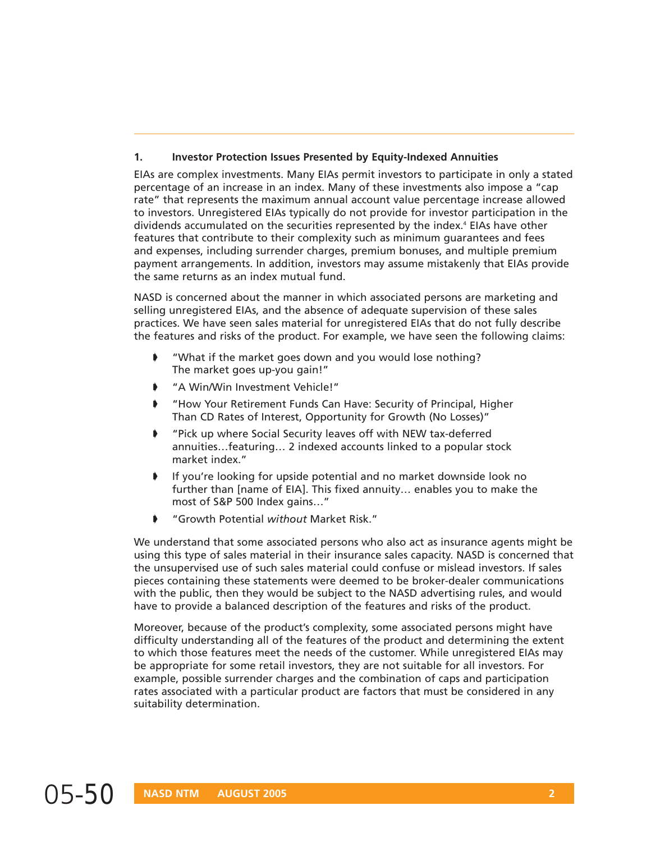#### **1. Investor Protection Issues Presented by Equity-Indexed Annuities**

EIAs are complex investments. Many EIAs permit investors to participate in only a stated percentage of an increase in an index. Many of these investments also impose a "cap rate" that represents the maximum annual account value percentage increase allowed to investors. Unregistered EIAs typically do not provide for investor participation in the dividends accumulated on the securities represented by the index.<sup>4</sup> EIAs have other features that contribute to their complexity such as minimum guarantees and fees and expenses, including surrender charges, premium bonuses, and multiple premium payment arrangements. In addition, investors may assume mistakenly that EIAs provide the same returns as an index mutual fund.

NASD is concerned about the manner in which associated persons are marketing and selling unregistered EIAs, and the absence of adequate supervision of these sales practices. We have seen sales material for unregistered EIAs that do not fully describe the features and risks of the product. For example, we have seen the following claims:

- ➧ "What if the market goes down and you would lose nothing? The market goes up-you gain!"
- ➧ "A Win/Win Investment Vehicle!"
- ➧ "How Your Retirement Funds Can Have: Security of Principal, Higher Than CD Rates of Interest, Opportunity for Growth (No Losses)"
- ➧ "Pick up where Social Security leaves off with NEW tax-deferred annuities…featuring… 2 indexed accounts linked to a popular stock market index."
- ➧ If you're looking for upside potential and no market downside look no further than [name of EIA]. This fixed annuity… enables you to make the most of S&P 500 Index gains…"
- ➧ "Growth Potential *without* Market Risk."

We understand that some associated persons who also act as insurance agents might be using this type of sales material in their insurance sales capacity. NASD is concerned that the unsupervised use of such sales material could confuse or mislead investors. If sales pieces containing these statements were deemed to be broker-dealer communications with the public, then they would be subject to the NASD advertising rules, and would have to provide a balanced description of the features and risks of the product.

Moreover, because of the product's complexity, some associated persons might have difficulty understanding all of the features of the product and determining the extent to which those features meet the needs of the customer. While unregistered EIAs may be appropriate for some retail investors, they are not suitable for all investors. For example, possible surrender charges and the combination of caps and participation rates associated with a particular product are factors that must be considered in any suitability determination.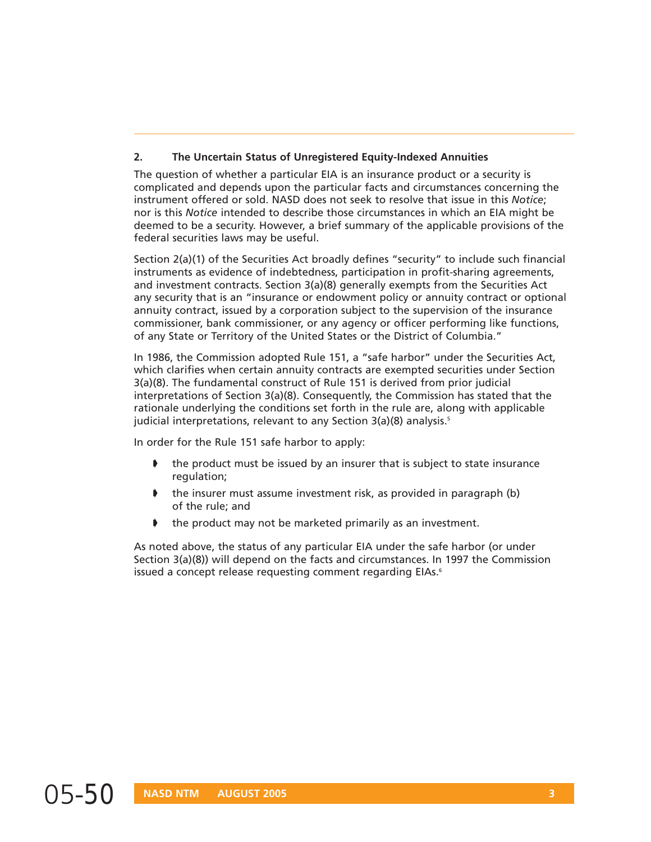#### **2. The Uncertain Status of Unregistered Equity-Indexed Annuities**

The question of whether a particular EIA is an insurance product or a security is complicated and depends upon the particular facts and circumstances concerning the instrument offered or sold. NASD does not seek to resolve that issue in this *Notice*; nor is this *Notice* intended to describe those circumstances in which an EIA might be deemed to be a security. However, a brief summary of the applicable provisions of the federal securities laws may be useful.

Section 2(a)(1) of the Securities Act broadly defines "security" to include such financial instruments as evidence of indebtedness, participation in profit-sharing agreements, and investment contracts. Section 3(a)(8) generally exempts from the Securities Act any security that is an "insurance or endowment policy or annuity contract or optional annuity contract, issued by a corporation subject to the supervision of the insurance commissioner, bank commissioner, or any agency or officer performing like functions, of any State or Territory of the United States or the District of Columbia."

In 1986, the Commission adopted Rule 151, a "safe harbor" under the Securities Act, which clarifies when certain annuity contracts are exempted securities under Section 3(a)(8). The fundamental construct of Rule 151 is derived from prior judicial interpretations of Section 3(a)(8). Consequently, the Commission has stated that the rationale underlying the conditions set forth in the rule are, along with applicable judicial interpretations, relevant to any Section 3(a)(8) analysis.<sup>5</sup>

In order for the Rule 151 safe harbor to apply:

- the product must be issued by an insurer that is subject to state insurance regulation;
- the insurer must assume investment risk, as provided in paragraph (b) of the rule; and
- ➧ the product may not be marketed primarily as an investment.

As noted above, the status of any particular EIA under the safe harbor (or under Section 3(a)(8)) will depend on the facts and circumstances. In 1997 the Commission issued a concept release requesting comment regarding EIAs.<sup>6</sup>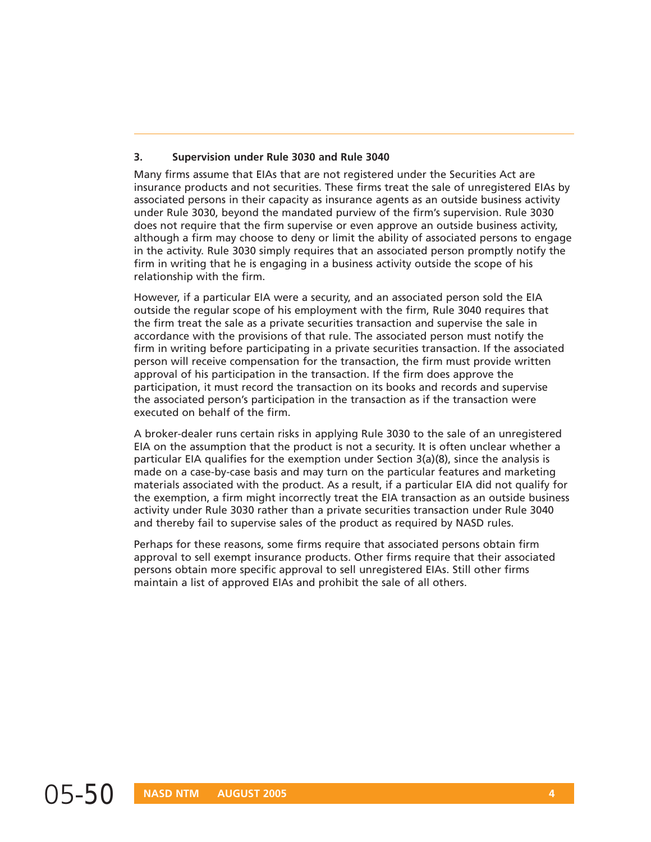#### **3. Supervision under Rule 3030 and Rule 3040**

Many firms assume that EIAs that are not registered under the Securities Act are insurance products and not securities. These firms treat the sale of unregistered EIAs by associated persons in their capacity as insurance agents as an outside business activity under Rule 3030, beyond the mandated purview of the firm's supervision. Rule 3030 does not require that the firm supervise or even approve an outside business activity, although a firm may choose to deny or limit the ability of associated persons to engage in the activity. Rule 3030 simply requires that an associated person promptly notify the firm in writing that he is engaging in a business activity outside the scope of his relationship with the firm.

However, if a particular EIA were a security, and an associated person sold the EIA outside the regular scope of his employment with the firm, Rule 3040 requires that the firm treat the sale as a private securities transaction and supervise the sale in accordance with the provisions of that rule. The associated person must notify the firm in writing before participating in a private securities transaction. If the associated person will receive compensation for the transaction, the firm must provide written approval of his participation in the transaction. If the firm does approve the participation, it must record the transaction on its books and records and supervise the associated person's participation in the transaction as if the transaction were executed on behalf of the firm.

A broker-dealer runs certain risks in applying Rule 3030 to the sale of an unregistered EIA on the assumption that the product is not a security. It is often unclear whether a particular EIA qualifies for the exemption under Section 3(a)(8), since the analysis is made on a case-by-case basis and may turn on the particular features and marketing materials associated with the product. As a result, if a particular EIA did not qualify for the exemption, a firm might incorrectly treat the EIA transaction as an outside business activity under Rule 3030 rather than a private securities transaction under Rule 3040 and thereby fail to supervise sales of the product as required by NASD rules.

Perhaps for these reasons, some firms require that associated persons obtain firm approval to sell exempt insurance products. Other firms require that their associated persons obtain more specific approval to sell unregistered EIAs. Still other firms maintain a list of approved EIAs and prohibit the sale of all others.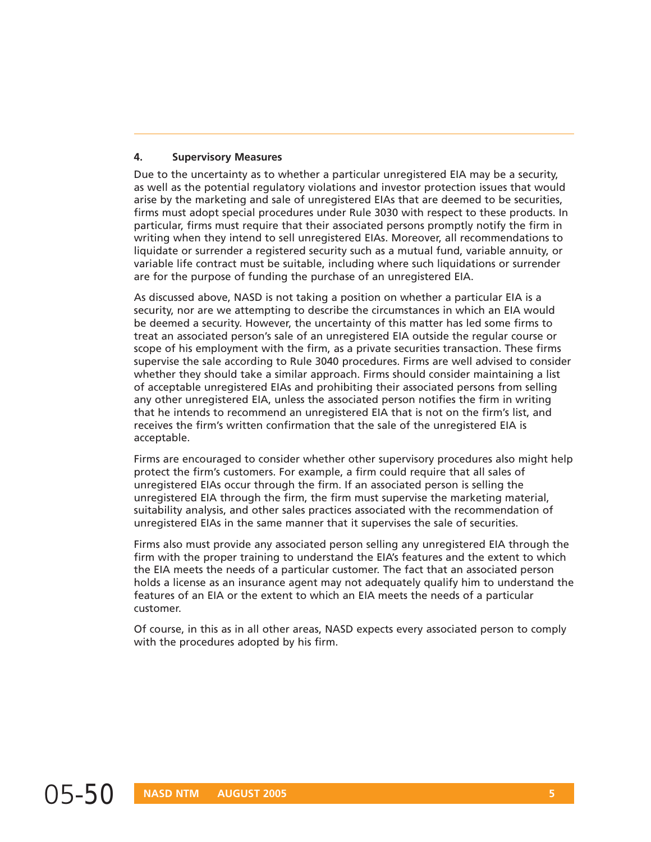#### **4. Supervisory Measures**

Due to the uncertainty as to whether a particular unregistered EIA may be a security, as well as the potential regulatory violations and investor protection issues that would arise by the marketing and sale of unregistered EIAs that are deemed to be securities, firms must adopt special procedures under Rule 3030 with respect to these products. In particular, firms must require that their associated persons promptly notify the firm in writing when they intend to sell unregistered EIAs. Moreover, all recommendations to liquidate or surrender a registered security such as a mutual fund, variable annuity, or variable life contract must be suitable, including where such liquidations or surrender are for the purpose of funding the purchase of an unregistered EIA.

As discussed above, NASD is not taking a position on whether a particular EIA is a security, nor are we attempting to describe the circumstances in which an EIA would be deemed a security. However, the uncertainty of this matter has led some firms to treat an associated person's sale of an unregistered EIA outside the regular course or scope of his employment with the firm, as a private securities transaction. These firms supervise the sale according to Rule 3040 procedures. Firms are well advised to consider whether they should take a similar approach. Firms should consider maintaining a list of acceptable unregistered EIAs and prohibiting their associated persons from selling any other unregistered EIA, unless the associated person notifies the firm in writing that he intends to recommend an unregistered EIA that is not on the firm's list, and receives the firm's written confirmation that the sale of the unregistered EIA is acceptable.

Firms are encouraged to consider whether other supervisory procedures also might help protect the firm's customers. For example, a firm could require that all sales of unregistered EIAs occur through the firm. If an associated person is selling the unregistered EIA through the firm, the firm must supervise the marketing material, suitability analysis, and other sales practices associated with the recommendation of unregistered EIAs in the same manner that it supervises the sale of securities.

Firms also must provide any associated person selling any unregistered EIA through the firm with the proper training to understand the EIA's features and the extent to which the EIA meets the needs of a particular customer. The fact that an associated person holds a license as an insurance agent may not adequately qualify him to understand the features of an EIA or the extent to which an EIA meets the needs of a particular customer.

Of course, in this as in all other areas, NASD expects every associated person to comply with the procedures adopted by his firm.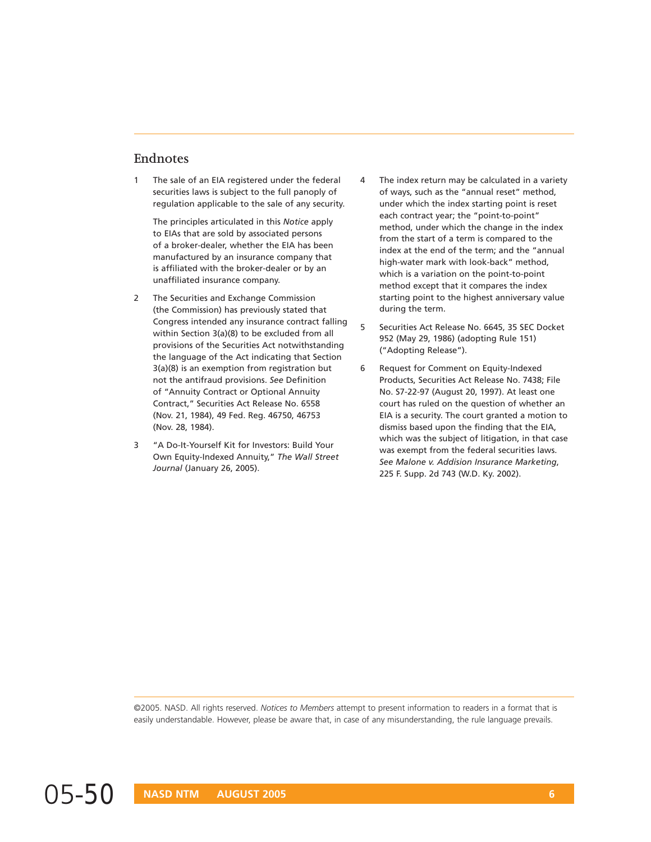#### **Endnotes**

1 The sale of an EIA registered under the federal securities laws is subject to the full panoply of regulation applicable to the sale of any security.

The principles articulated in this *Notice* apply to EIAs that are sold by associated persons of a broker-dealer, whether the EIA has been manufactured by an insurance company that is affiliated with the broker-dealer or by an unaffiliated insurance company.

- 2 The Securities and Exchange Commission (the Commission) has previously stated that Congress intended any insurance contract falling within Section 3(a)(8) to be excluded from all provisions of the Securities Act notwithstanding the language of the Act indicating that Section 3(a)(8) is an exemption from registration but not the antifraud provisions. *See* Definition of "Annuity Contract or Optional Annuity Contract," Securities Act Release No. 6558 (Nov. 21, 1984), 49 Fed. Reg. 46750, 46753 (Nov. 28, 1984).
- 3 "A Do-It-Yourself Kit for Investors: Build Your Own Equity-Indexed Annuity," *The Wall Street Journal* (January 26, 2005).
- 4 The index return may be calculated in a variety of ways, such as the "annual reset" method, under which the index starting point is reset each contract year; the "point-to-point" method, under which the change in the index from the start of a term is compared to the index at the end of the term; and the "annual high-water mark with look-back" method, which is a variation on the point-to-point method except that it compares the index starting point to the highest anniversary value during the term.
- 5 Securities Act Release No. 6645, 35 SEC Docket 952 (May 29, 1986) (adopting Rule 151) ("Adopting Release").
- 6 Request for Comment on Equity-Indexed Products, Securities Act Release No. 7438; File No. S7-22-97 (August 20, 1997). At least one court has ruled on the question of whether an EIA is a security. The court granted a motion to dismiss based upon the finding that the EIA, which was the subject of litigation, in that case was exempt from the federal securities laws. *See Malone v. Addision Insurance Marketing*, 225 F. Supp. 2d 743 (W.D. Ky. 2002).

©2005. NASD. All rights reserved. *Notices to Members* attempt to present information to readers in a format that is easily understandable. However, please be aware that, in case of any misunderstanding, the rule language prevails.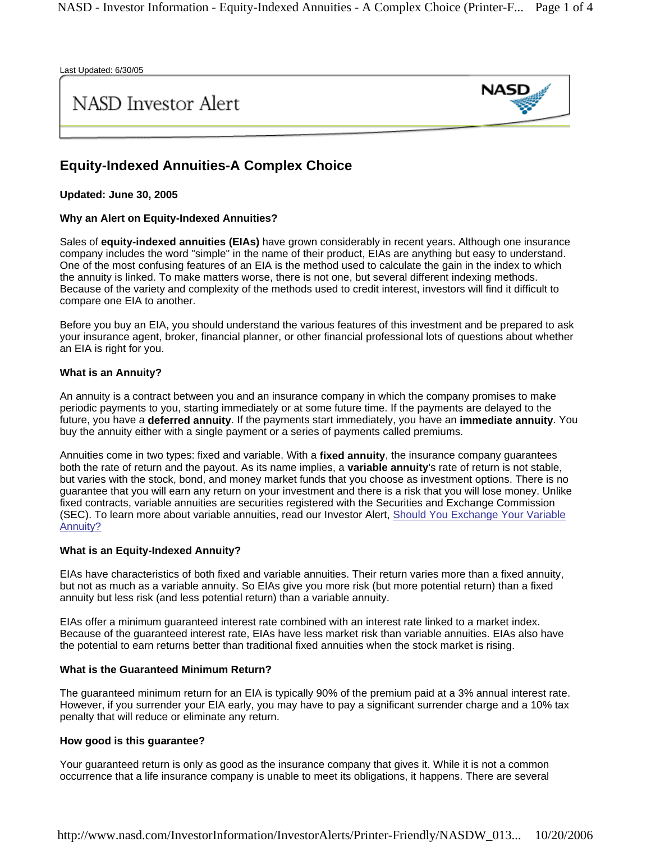Last Updated: 6/30/05

### **NASD** Investor Alert



#### **Equity-Indexed Annuities-A Complex Choice**

**Updated: June 30, 2005**

#### **Why an Alert on Equity-Indexed Annuities?**

Sales of **equity-indexed annuities (EIAs)** have grown considerably in recent years. Although one insurance company includes the word "simple" in the name of their product, EIAs are anything but easy to understand. One of the most confusing features of an EIA is the method used to calculate the gain in the index to which the annuity is linked. To make matters worse, there is not one, but several different indexing methods. Because of the variety and complexity of the methods used to credit interest, investors will find it difficult to compare one EIA to another.

Before you buy an EIA, you should understand the various features of this investment and be prepared to ask your insurance agent, broker, financial planner, or other financial professional lots of questions about whether an EIA is right for you.

#### **What is an Annuity?**

An annuity is a contract between you and an insurance company in which the company promises to make periodic payments to you, starting immediately or at some future time. If the payments are delayed to the future, you have a **deferred annuity**. If the payments start immediately, you have an **immediate annuity**. You buy the annuity either with a single payment or a series of payments called premiums.

Annuities come in two types: fixed and variable. With a **fixed annuity**, the insurance company guarantees both the rate of return and the payout. As its name implies, a **variable annuity**'s rate of return is not stable, but varies with the stock, bond, and money market funds that you choose as investment options. There is no guarantee that you will earn any return on your investment and there is a risk that you will lose money. Unlike fixed contracts, variable annuities are securities registered with the Securities and Exchange Commission (SEC). To learn more about variable annuities, read our Investor Alert, Should You Exchange Your Variable Annuity?

#### **What is an Equity-Indexed Annuity?**

EIAs have characteristics of both fixed and variable annuities. Their return varies more than a fixed annuity, but not as much as a variable annuity. So EIAs give you more risk (but more potential return) than a fixed annuity but less risk (and less potential return) than a variable annuity.

EIAs offer a minimum guaranteed interest rate combined with an interest rate linked to a market index. Because of the guaranteed interest rate, EIAs have less market risk than variable annuities. EIAs also have the potential to earn returns better than traditional fixed annuities when the stock market is rising.

#### **What is the Guaranteed Minimum Return?**

The guaranteed minimum return for an EIA is typically 90% of the premium paid at a 3% annual interest rate. However, if you surrender your EIA early, you may have to pay a significant surrender charge and a 10% tax penalty that will reduce or eliminate any return.

#### **How good is this guarantee?**

Your guaranteed return is only as good as the insurance company that gives it. While it is not a common occurrence that a life insurance company is unable to meet its obligations, it happens. There are several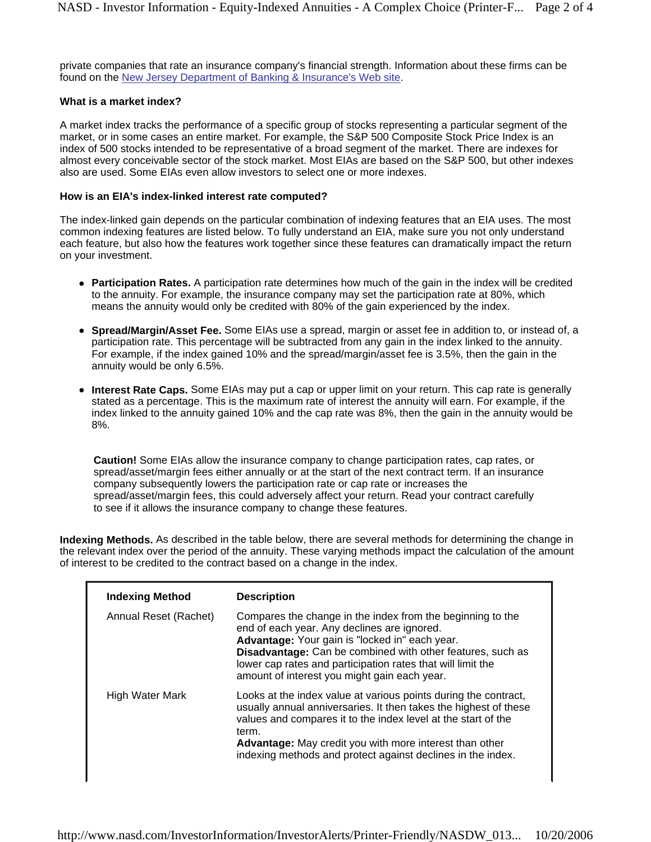private companies that rate an insurance company's financial strength. Information about these firms can be found on the New Jersey Department of Banking & Insurance's Web site.

#### **What is a market index?**

A market index tracks the performance of a specific group of stocks representing a particular segment of the market, or in some cases an entire market. For example, the S&P 500 Composite Stock Price Index is an index of 500 stocks intended to be representative of a broad segment of the market. There are indexes for almost every conceivable sector of the stock market. Most EIAs are based on the S&P 500, but other indexes also are used. Some EIAs even allow investors to select one or more indexes.

#### **How is an EIA's index-linked interest rate computed?**

The index-linked gain depends on the particular combination of indexing features that an EIA uses. The most common indexing features are listed below. To fully understand an EIA, make sure you not only understand each feature, but also how the features work together since these features can dramatically impact the return on your investment.

- Participation Rates. A participation rate determines how much of the gain in the index will be credited to the annuity. For example, the insurance company may set the participation rate at 80%, which means the annuity would only be credited with 80% of the gain experienced by the index.
- **Spread/Margin/Asset Fee.** Some EIAs use a spread, margin or asset fee in addition to, or instead of, a participation rate. This percentage will be subtracted from any gain in the index linked to the annuity. For example, if the index gained 10% and the spread/margin/asset fee is 3.5%, then the gain in the annuity would be only 6.5%.
- Interest Rate Caps. Some EIAs may put a cap or upper limit on your return. This cap rate is generally stated as a percentage. This is the maximum rate of interest the annuity will earn. For example, if the index linked to the annuity gained 10% and the cap rate was 8%, then the gain in the annuity would be 8%.

**Caution!** Some EIAs allow the insurance company to change participation rates, cap rates, or spread/asset/margin fees either annually or at the start of the next contract term. If an insurance company subsequently lowers the participation rate or cap rate or increases the spread/asset/margin fees, this could adversely affect your return. Read your contract carefully to see if it allows the insurance company to change these features.

**Indexing Methods.** As described in the table below, there are several methods for determining the change in the relevant index over the period of the annuity. These varying methods impact the calculation of the amount of interest to be credited to the contract based on a change in the index.

| <b>Indexing Method</b> | <b>Description</b>                                                                                                                                                                                                                                                                                                                       |
|------------------------|------------------------------------------------------------------------------------------------------------------------------------------------------------------------------------------------------------------------------------------------------------------------------------------------------------------------------------------|
| Annual Reset (Rachet)  | Compares the change in the index from the beginning to the<br>end of each year. Any declines are ignored.<br>Advantage: Your gain is "locked in" each year.<br>Disadvantage: Can be combined with other features, such as<br>lower cap rates and participation rates that will limit the<br>amount of interest you might gain each year. |
| High Water Mark        | Looks at the index value at various points during the contract,<br>usually annual anniversaries. It then takes the highest of these<br>values and compares it to the index level at the start of the<br>term.<br>Advantage: May credit you with more interest than other<br>indexing methods and protect against declines in the index.  |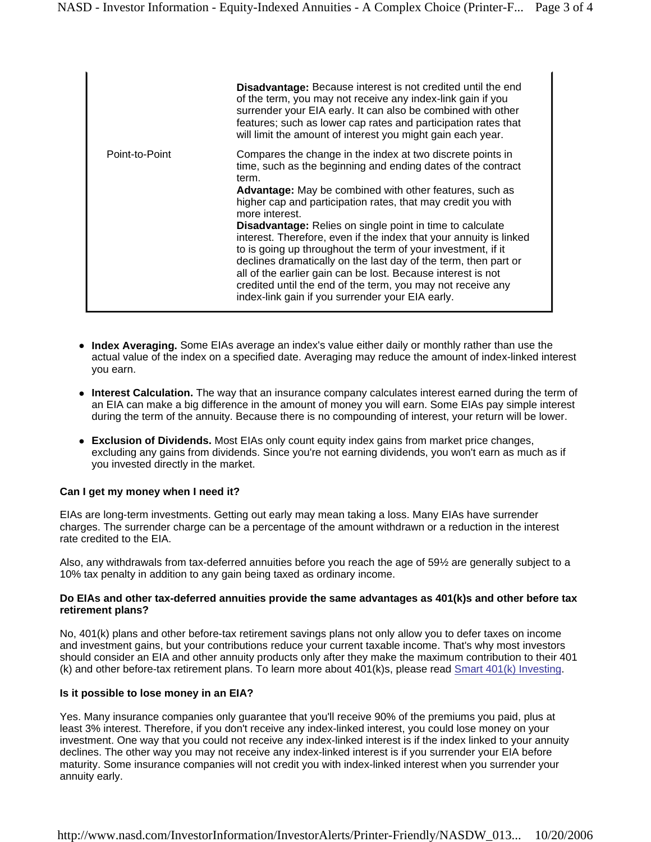|                | <b>Disadvantage:</b> Because interest is not credited until the end<br>of the term, you may not receive any index-link gain if you<br>surrender your EIA early. It can also be combined with other<br>features; such as lower cap rates and participation rates that<br>will limit the amount of interest you might gain each year.                                                                                                                                                                                                                                                                                                                                                                                                       |
|----------------|-------------------------------------------------------------------------------------------------------------------------------------------------------------------------------------------------------------------------------------------------------------------------------------------------------------------------------------------------------------------------------------------------------------------------------------------------------------------------------------------------------------------------------------------------------------------------------------------------------------------------------------------------------------------------------------------------------------------------------------------|
| Point-to-Point | Compares the change in the index at two discrete points in<br>time, such as the beginning and ending dates of the contract<br>term.<br>Advantage: May be combined with other features, such as<br>higher cap and participation rates, that may credit you with<br>more interest.<br>Disadvantage: Relies on single point in time to calculate<br>interest. Therefore, even if the index that your annuity is linked<br>to is going up throughout the term of your investment, if it<br>declines dramatically on the last day of the term, then part or<br>all of the earlier gain can be lost. Because interest is not<br>credited until the end of the term, you may not receive any<br>index-link gain if you surrender your EIA early. |

- Index Averaging. Some EIAs average an index's value either daily or monthly rather than use the actual value of the index on a specified date. Averaging may reduce the amount of index-linked interest you earn.
- **Interest Calculation.** The way that an insurance company calculates interest earned during the term of an EIA can make a big difference in the amount of money you will earn. Some EIAs pay simple interest during the term of the annuity. Because there is no compounding of interest, your return will be lower.
- **Exclusion of Dividends.** Most EIAs only count equity index gains from market price changes, excluding any gains from dividends. Since you're not earning dividends, you won't earn as much as if you invested directly in the market.

#### **Can I get my money when I need it?**

EIAs are long-term investments. Getting out early may mean taking a loss. Many EIAs have surrender charges. The surrender charge can be a percentage of the amount withdrawn or a reduction in the interest rate credited to the EIA.

Also, any withdrawals from tax-deferred annuities before you reach the age of 59½ are generally subject to a 10% tax penalty in addition to any gain being taxed as ordinary income.

#### **Do EIAs and other tax-deferred annuities provide the same advantages as 401(k)s and other before tax retirement plans?**

No, 401(k) plans and other before-tax retirement savings plans not only allow you to defer taxes on income and investment gains, but your contributions reduce your current taxable income. That's why most investors should consider an EIA and other annuity products only after they make the maximum contribution to their 401 (k) and other before-tax retirement plans. To learn more about 401(k)s, please read Smart 401(k) Investing.

#### **Is it possible to lose money in an EIA?**

Yes. Many insurance companies only guarantee that you'll receive 90% of the premiums you paid, plus at least 3% interest. Therefore, if you don't receive any index-linked interest, you could lose money on your investment. One way that you could not receive any index-linked interest is if the index linked to your annuity declines. The other way you may not receive any index-linked interest is if you surrender your EIA before maturity. Some insurance companies will not credit you with index-linked interest when you surrender your annuity early.